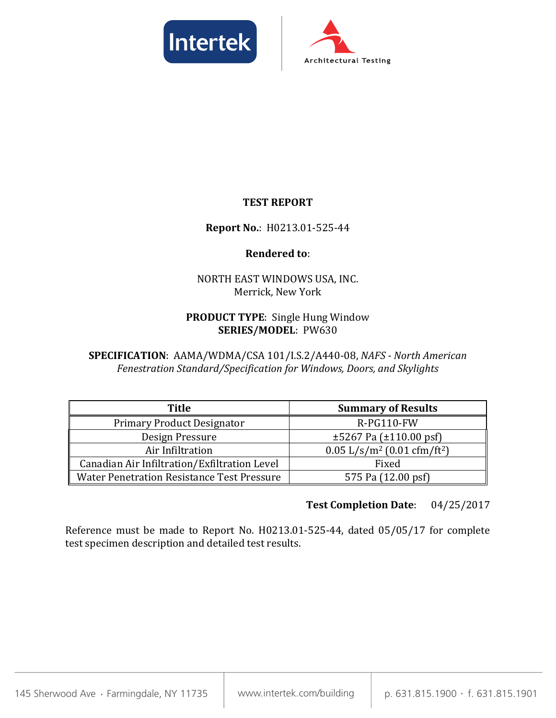



#### **TEST REPORT**

#### **Report No.**: H0213.01-525-44

#### **Rendered to**:

#### NORTH EAST WINDOWS USA, INC. Merrick, New York

#### **PRODUCT TYPE**: Single Hung Window **SERIES/MODEL**: PW630

**SPECIFICATION**: AAMA/WDMA/CSA 101/I.S.2/A440-08, *NAFS - North American Fenestration Standard/Specification for Windows, Doors, and Skylights*

| <b>Title</b>                                      | <b>Summary of Results</b>                             |
|---------------------------------------------------|-------------------------------------------------------|
| <b>Primary Product Designator</b>                 | $R-PG110-FW$                                          |
| Design Pressure                                   | $\pm 5267$ Pa ( $\pm 110.00$ psf)                     |
| Air Infiltration                                  | $0.05$ L/s/m <sup>2</sup> (0.01 cfm/ft <sup>2</sup> ) |
| Canadian Air Infiltration/Exfiltration Level      | Fixed                                                 |
| <b>Water Penetration Resistance Test Pressure</b> | 575 Pa (12.00 psf)                                    |

#### **Test Completion Date**: 04/25/2017

Reference must be made to Report No. H0213.01-525-44, dated 05/05/17 for complete test specimen description and detailed test results.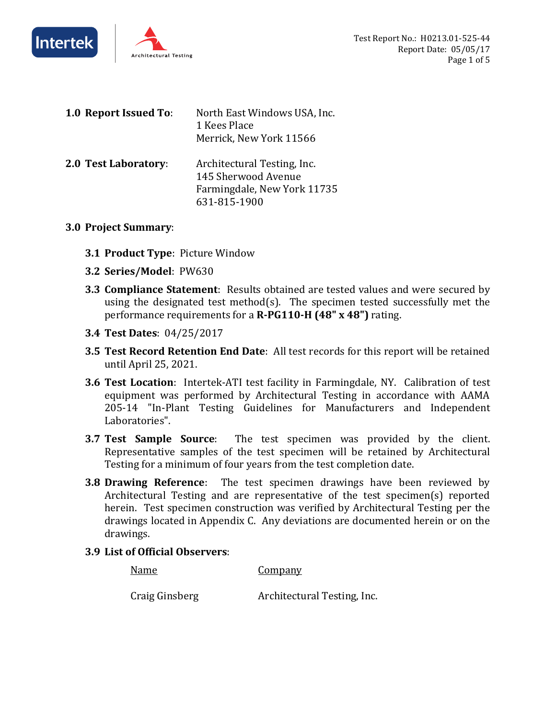



| 1.0 Report Issued To:       | North East Windows USA, Inc.<br>1 Kees Place<br>Merrick, New York 11566                           |
|-----------------------------|---------------------------------------------------------------------------------------------------|
| <b>2.0 Test Laboratory:</b> | Architectural Testing, Inc.<br>145 Sherwood Avenue<br>Farmingdale, New York 11735<br>631-815-1900 |

#### **3.0 Project Summary**:

- **3.1 Product Type**: Picture Window
- **3.2 Series/Model**: PW630
- **3.3 Compliance Statement**: Results obtained are tested values and were secured by using the designated test method(s). The specimen tested successfully met the performance requirements for a **R-PG110-H (48" x 48")** rating.
- **3.4 Test Dates**: 04/25/2017
- **3.5 Test Record Retention End Date**: All test records for this report will be retained until April 25, 2021.
- **3.6 Test Location**: Intertek-ATI test facility in Farmingdale, NY. Calibration of test equipment was performed by Architectural Testing in accordance with AAMA 205-14 "In-Plant Testing Guidelines for Manufacturers and Independent Laboratories".
- **3.7 Test Sample Source**: The test specimen was provided by the client. Representative samples of the test specimen will be retained by Architectural Testing for a minimum of four years from the test completion date.
- **3.8 Drawing Reference**: The test specimen drawings have been reviewed by Architectural Testing and are representative of the test specimen(s) reported herein. Test specimen construction was verified by Architectural Testing per the drawings located in Appendix C. Any deviations are documented herein or on the drawings.
- **3.9 List of Official Observers**:

Name Company

Craig Ginsberg Architectural Testing, Inc.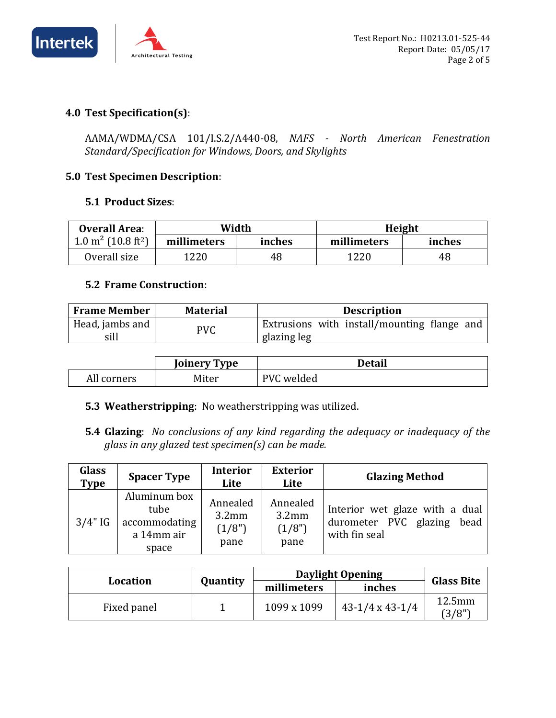

#### **4.0 Test Specification(s)**:

AAMA/WDMA/CSA 101/I.S.2/A440-08, *NAFS - North American Fenestration Standard/Specification for Windows, Doors, and Skylights*

#### **5.0 Test Specimen Description**:

#### **5.1 Product Sizes**:

| <b>Overall Area:</b>                      | Width                 |    | Height      |        |
|-------------------------------------------|-----------------------|----|-------------|--------|
| $1.0 \text{ m}^2$ (10.8 ft <sup>2</sup> ) | inches<br>millimeters |    | millimeters | inches |
| Overall size                              | 1220                  | 48 | 1220        | 48     |

#### **5.2 Frame Construction**:

| <b>Frame Member</b>         | <b>Material</b> | <b>Description</b>                          |
|-----------------------------|-----------------|---------------------------------------------|
| Head, jambs and $\parallel$ | PVC             | Extrusions with install/mounting flange and |
| sill                        |                 | glazing leg                                 |

|             | <b>Joinery Type</b> | Detail         |
|-------------|---------------------|----------------|
| All corners | Miter               | PVC.<br>welded |

#### **5.3 Weatherstripping**: No weatherstripping was utilized.

**5.4 Glazing**: *No conclusions of any kind regarding the adequacy or inadequacy of the glass in any glazed test specimen(s) can be made.*

| <b>Glass</b><br><b>Type</b> | <b>Spacer Type</b>                                           | <b>Interior</b><br>Lite                | <b>Exterior</b><br>Lite                         | <b>Glazing Method</b>                                                            |
|-----------------------------|--------------------------------------------------------------|----------------------------------------|-------------------------------------------------|----------------------------------------------------------------------------------|
| $3/4"$ IG                   | Aluminum box<br>tube<br>accommodating<br>a 14mm air<br>space | Annealed<br>$3.2$ mm<br>(1/8")<br>pane | Annealed<br>3.2 <sub>mm</sub><br>(1/8")<br>pane | Interior wet glaze with a dual<br>durometer PVC glazing<br>bead<br>with fin seal |

|             |          |             | <b>Daylight Opening</b> | <b>Glass Bite</b> |  |
|-------------|----------|-------------|-------------------------|-------------------|--|
| Location    | Quantity | millimeters | inches                  |                   |  |
| Fixed panel |          | 1099 x 1099 | $43-1/4 \times 43-1/4$  | $12.5$ mm<br>3/8" |  |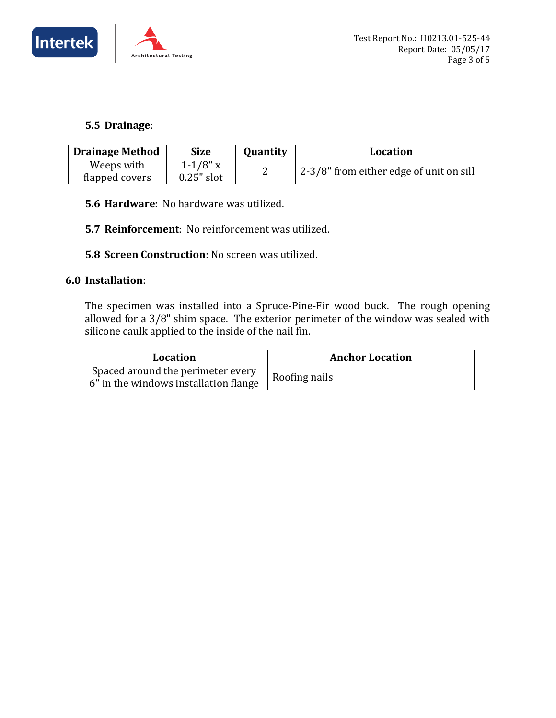



#### **5.5 Drainage**:

| <b>Drainage Method</b><br><b>Size</b> |               | Quantity | Location                                |
|---------------------------------------|---------------|----------|-----------------------------------------|
| Weeps with                            | $1 - 1/8"$ x  |          | 2-3/8" from either edge of unit on sill |
| flapped covers                        | $0.25$ " slot |          |                                         |

- **5.6 Hardware**: No hardware was utilized.
- **5.7 Reinforcement**: No reinforcement was utilized.
- **5.8 Screen Construction**: No screen was utilized.

#### **6.0 Installation**:

The specimen was installed into a Spruce-Pine-Fir wood buck. The rough opening allowed for a 3/8" shim space. The exterior perimeter of the window was sealed with silicone caulk applied to the inside of the nail fin.

| Location                                                                   | <b>Anchor Location</b> |
|----------------------------------------------------------------------------|------------------------|
| Spaced around the perimeter every<br>6" in the windows installation flange | Roofing nails          |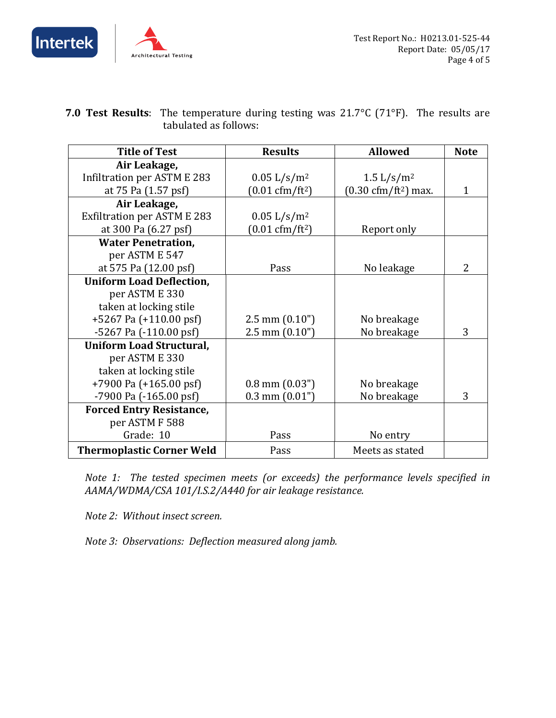



| <b>7.0 Test Results</b> : The temperature during testing was $21.7^{\circ}C$ (71 $^{\circ}F$ ). The results are |  |
|-----------------------------------------------------------------------------------------------------------------|--|
| tabulated as follows:                                                                                           |  |

| <b>Title of Test</b>               | <b>Results</b>                   | <b>Allowed</b>                        | <b>Note</b> |
|------------------------------------|----------------------------------|---------------------------------------|-------------|
| Air Leakage,                       |                                  |                                       |             |
| Infiltration per ASTM E 283        | 0.05 L/s/m <sup>2</sup>          | 1.5 $L/s/m^2$                         |             |
| at 75 Pa (1.57 psf)                | $(0.01 \text{ cfm}/\text{ft}^2)$ | $(0.30 \text{ cfm}/\text{ft}^2)$ max. |             |
| Air Leakage,                       |                                  |                                       |             |
| <b>Exfiltration per ASTM E 283</b> | 0.05 L/s/m <sup>2</sup>          |                                       |             |
| at 300 Pa (6.27 psf)               | $(0.01 \text{ cfm}/\text{ft}^2)$ | Report only                           |             |
| <b>Water Penetration,</b>          |                                  |                                       |             |
| per ASTM E 547                     |                                  |                                       |             |
| at 575 Pa (12.00 psf)              | Pass                             | No leakage                            | 2           |
| <b>Uniform Load Deflection,</b>    |                                  |                                       |             |
| per ASTM E 330                     |                                  |                                       |             |
| taken at locking stile             |                                  |                                       |             |
| +5267 Pa (+110.00 psf)             | $2.5$ mm $(0.10")$               | No breakage                           |             |
| $-5267$ Pa $(-110.00$ psf)         | $2.5$ mm $(0.10")$               | No breakage                           | 3           |
| <b>Uniform Load Structural,</b>    |                                  |                                       |             |
| per ASTM E 330                     |                                  |                                       |             |
| taken at locking stile             |                                  |                                       |             |
| +7900 Pa (+165.00 psf)             | $0.8$ mm $(0.03")$               | No breakage                           |             |
| -7900 Pa (-165.00 psf)             | $0.3$ mm $(0.01")$               | No breakage                           | 3           |
| <b>Forced Entry Resistance,</b>    |                                  |                                       |             |
| per ASTM F 588                     |                                  |                                       |             |
| Grade: 10                          | Pass                             | No entry                              |             |
| <b>Thermoplastic Corner Weld</b>   | Pass                             | Meets as stated                       |             |

*Note 1: The tested specimen meets (or exceeds) the performance levels specified in AAMA/WDMA/CSA 101/I.S.2/A440 for air leakage resistance.*

*Note 2: Without insect screen.*

*Note 3: Observations: Deflection measured along jamb.*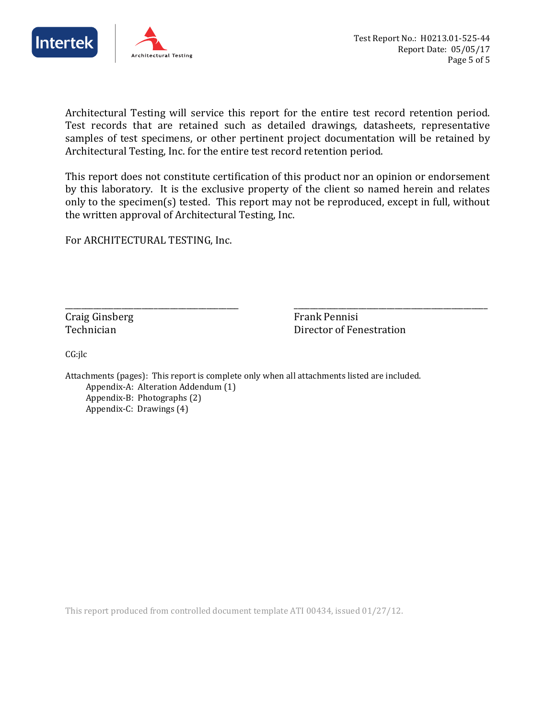



Architectural Testing will service this report for the entire test record retention period. Test records that are retained such as detailed drawings, datasheets, representative samples of test specimens, or other pertinent project documentation will be retained by Architectural Testing, Inc. for the entire test record retention period.

This report does not constitute certification of this product nor an opinion or endorsement by this laboratory. It is the exclusive property of the client so named herein and relates only to the specimen(s) tested. This report may not be reproduced, except in full, without the written approval of Architectural Testing, Inc.

For ARCHITECTURAL TESTING, Inc.

Craig Ginsberg Frank Pennisi

\_\_\_\_\_\_\_\_\_\_\_\_\_\_\_\_\_\_\_\_\_\_\_\_\_\_\_\_\_\_\_\_\_\_\_\_\_\_\_\_\_\_\_ \_\_\_\_\_\_\_\_\_\_\_\_\_\_\_\_\_\_\_\_\_\_\_\_\_\_\_\_\_\_\_\_\_\_\_\_\_\_\_\_\_\_\_\_\_\_\_\_ **Technician Communist Communist Communist Communist Communist Communist Communist Communist Communist Communist Communist Communist Communist Communist Communist Communist Communist Communist Communist Communist Communist** 

CG:jlc

Attachments (pages): This report is complete only when all attachments listed are included. Appendix-A: Alteration Addendum (1) Appendix-B: Photographs (2) Appendix-C: Drawings (4)

This report produced from controlled document template ATI 00434, issued 01/27/12.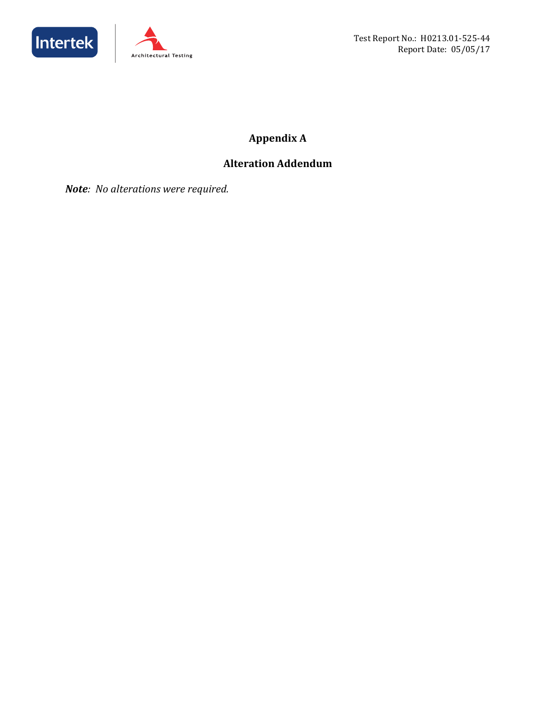



## **Appendix A**

## **Alteration Addendum**

*Note: No alterations were required.*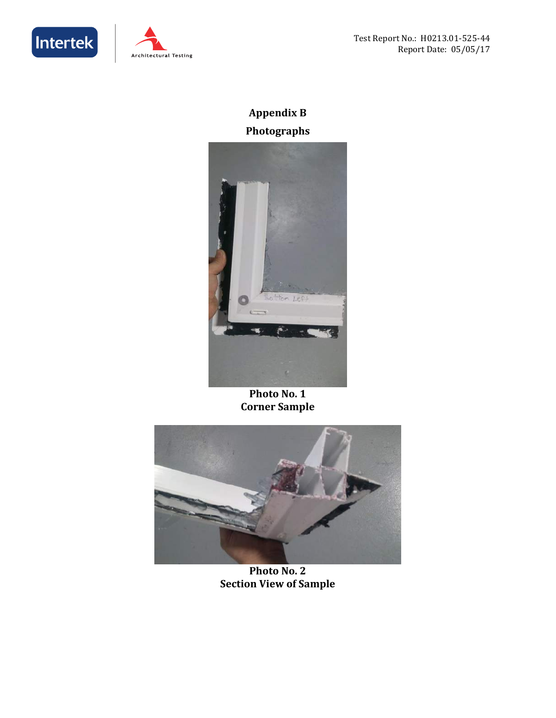



## **Appendix B Photographs**



**Photo No. 1 Corner Sample** 



**Photo No. 2 Section View of Sample**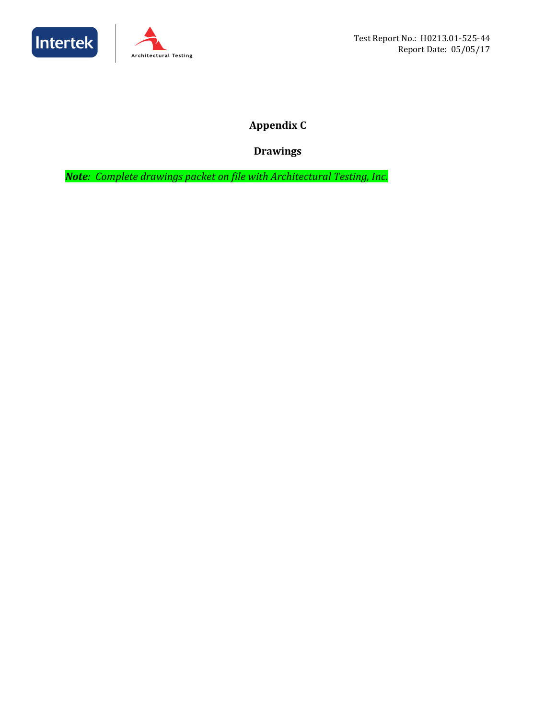



**Appendix C**

**Drawings** 

*Note: Complete drawings packet on file with Architectural Testing, Inc.*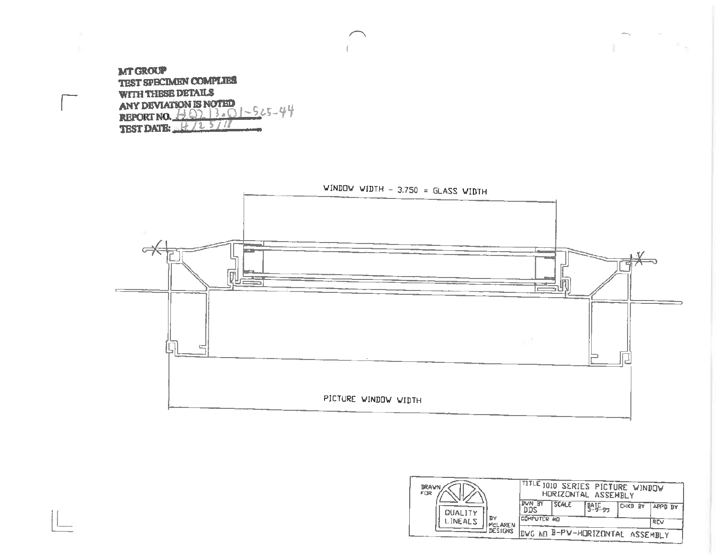**MT GROUP** TEST SPECIMEN COMPLIES WITH THESE DETAILS ANY DEVIATION IS NOTED<br>REPORT NO.  $\frac{1}{2}$  O  $3$  o  $1 - 5$   $25 - 4$   $4$ <br>TEST DATE:  $\frac{11}{2}$  / 1  $\frac{5}{2}$  / 1



| <b>DRAWN</b><br>FOR                                      | TITLE 1010 SERIES PICTURE WINDOW<br>HURIZONTAL ASSEMBLY |              |                       |                             |                |
|----------------------------------------------------------|---------------------------------------------------------|--------------|-----------------------|-----------------------------|----------------|
| <b>QUALITY</b>                                           | <b>DVN BY</b>                                           | <b>SCALE</b> | <b>DATE</b><br>3-9-99 | <b>ICHKD BY</b>             | <b>APPD BY</b> |
| P۲<br><b>LINEALS</b><br><b>MCLAREN</b><br><b>DESIGNS</b> | <b>ICOMPUTER AD</b><br>lnvG.                            |              |                       | NO B-PW-HORIZONTAL ASSEMBLY | REV            |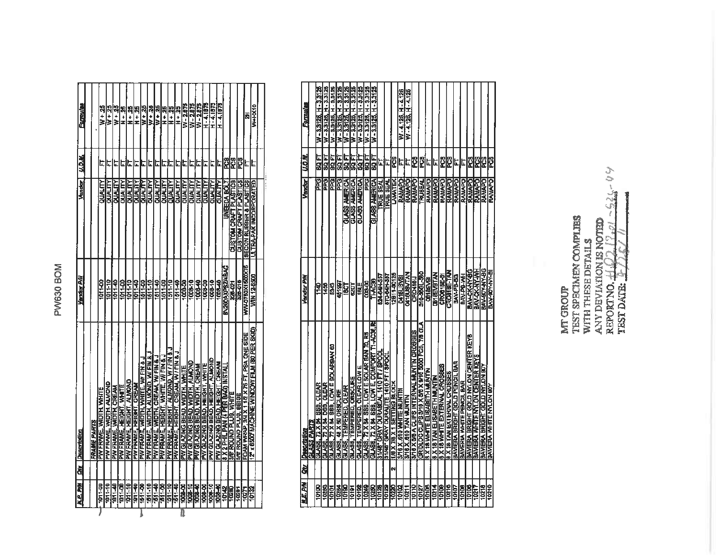# PW630 BOM

|              | <b><i>M.E. PH   Div.   Description</i></b>   | <b>Yandar PAN</b>        | Vandor                       | u.o.u | <b>Formulae</b>   |  |
|--------------|----------------------------------------------|--------------------------|------------------------------|-------|-------------------|--|
|              |                                              |                          |                              |       |                   |  |
|              | FRAME PARTS                                  |                          |                              |       |                   |  |
| 1011-00      | PW FRAME, WIDTH, WHITE                       | 1011-00                  | QUALITY                      | E     | W + 25            |  |
| 101110       | PW FRAME, WIDTH, ALMOND                      | 1011-10                  | <b>COUALITY</b>              | ⊏     | W + 25            |  |
| 1011-40      | pw Frame, Width, Cream                       | 101140                   | <b>CITYRO</b>                | Ę     | W+ 25             |  |
| 1011-00      | PW FRAME, HEIGHT, WHITE                      | 1011-00                  | <b>CAUALITY</b>              | c     | 第十五               |  |
| $101 - 10$   | PW FRAME, HEIGHT, ALMOND                     | 1011-10                  | <b>ATTYRDE</b>               | ե     | $H + 25$          |  |
| 101140       | <b>PW FRAME, HEIGHT, CREAM</b>               | <b>SH : 101</b>          | <b>אודארונגס</b>             | ⊑     | H+25              |  |
| $00 - 151$   | PW FRAME, WIDTH, WHITE, WI FIN &             | 1511-00                  | <b>ALLIND</b>                | L.    | $\frac{32}{M+M}$  |  |
| 1511-10      | PW FRAME, WIDTH, ALMOND, WI FIN & J          | 1511-10                  | <b>CALALITY</b>              | Ŀ     | $W + 25$          |  |
| 161140       | PW FRAME, WIDTH, CREAM, WIFIN & J            | $1511 - 40$              | <b>ATATA</b>                 | ⋤     | W + 25            |  |
| 1811-00      | PW FRAME, HEIGHT, WHITE, WI FIN &            | 1511-00                  | <b>AITHER</b>                | Г     | $\frac{14}{1}$    |  |
| 1511-10      | PW FRAME, HEIGHT, ALMOND, W/FIN &            | 1511-10                  | <b>ALLIND</b>                | ե     | $H + 25$          |  |
| $1611 - 40$  | PW FRAME, HEIGHT, CREAM, W/FIN&              | 151140                   | <b>Allaluc</b>               | Г     | $H + 25$          |  |
| 1008-00      | PW GLAZING BEAD, WIDTH, WHITE                | 1008-00                  | DUALITY                      | F     | <b>AX - 51912</b> |  |
| 1008-10      | <b>PW GLAZING BEAD, WIDTH, ALMOND</b>        | 1008-10                  | <b>CITYWITC</b>              | E     | W-2875            |  |
| 1008-40      | PW GLAZING BEAD, WIDTH, CREAM                | 우<br>8                   | QUALITY                      | Ŀ     | W-2.875           |  |
| 1008-00      | <u>PW GLAZING BEAD, HEIGHT, WHITE</u>        | 1008-00                  | <b>DUALITY</b>               | ⊾     | <b>PC874.1879</b> |  |
| 1008-10      | PW GLAZING BEAD, HEIGHT, ALMOND              | 1008-10                  | <b>JUNUD</b>                 | ⋤     | H-4.1875          |  |
| 1008-40      | <b>PAV GLAZING BEAD, HEIGHT, CREAM</b>       | 1008-40                  | <b>OLIAL TY</b>              | E     | H-4.1875          |  |
| 10142        | 8 X 2 PHIL PAN (4 PER BAG) INSTAL            | <b>DYSINGS-DOUGHBOUR</b> | <b>INEEDA BOLT</b>           | 82d   |                   |  |
| 10280        | 3/8 ROUND PLUG, WHITE                        | 328-021                  | <b>GUSTOM CRAFT PLASTICS</b> | ဥ္က   |                   |  |
| 10281        | <b>3/8 ROUND PLUG, BEIGE</b>                 | 328-016                  | <b>QUBTOM CRAFT PLASTICS</b> | ဥ္မ   |                   |  |
| 10271        | FOAM WRAP, 3/4 X 1 1/2 X 75 FT, PSA ONE SIDE | <b>HYN-0750X1500X75</b>  | SECON RUBBER & PLASTICS      | Ŀ     | Ŧ                 |  |
| <b>TOTES</b> | 12 x 6500 MACHINE WINDOW FILM (80 PER SKID)  | WIN 12-8500              | ULTRA-PAK INCORPORATED       | L     | W+HX10            |  |
|              |                                              |                          |                              |       |                   |  |
|              |                                              |                          |                              |       |                   |  |

| đ | GLASS PARTS<br>1244202001                                                           | Vendur PW           | Vendor j             | <b>U.O.M.</b>   | Formulas               |
|---|-------------------------------------------------------------------------------------|---------------------|----------------------|-----------------|------------------------|
|   |                                                                                     |                     |                      |                 |                        |
|   | <b>GLASS, 72 X 84 SSB, CLEAR</b>                                                    | 341)                | <b>Bed</b>           | 医宫              | W-3,3126, H-3,3125     |
|   | <b>GLASS, 72 X 84 DSB, CLEAR</b>                                                    | 1456                | e<br>G               | ե<br>8          | W-33125, H-33125       |
|   | GLASS, 72 X 84 S68, LOW E SOLARIAN 60                                               | SNSB <sub>1</sub>   | 운도                   | ្ត<br>ខ         | W-3.3125, H-3.3125     |
|   | GLASS, 48 X 60 OBSCURE                                                              | 451997              | e<br>Fe              | ia<br>Sa        | W-33125, H-3,3126      |
|   | GLASS. TEMPERED. CLEAR                                                              | <u>ទ្ធ</u>          | <b>OLASS AMERICA</b> | 58<br>8         | W-3.3125, H-3.3125     |
|   | GLASS, TEMPERED, GBSCURE                                                            | $\overline{201}$    | GLASS AMERICA        |                 | W - 3.3126. H - 3.3126 |
|   | GLASS, TEMPERED, CLEAR LOW E                                                        | <b>TBLE</b>         | GLASS AMERICA        | EE<br>88        | W-3.3125, H-3.3125     |
|   | GLASS, 72 X 84 SSE, LOW E SOLAR BAN 70, R5                                          | 00000               | 문                    | 도<br>82         | W - 3.3126. H - 3.3128 |
|   | GLASE, 72 X 84 SSB, LOW E, COMPORT T1 AC38,                                         | <b>THAC38</b>       | GLASS AMERICA        | 도<br>8          | W - 3.3125. H - 3.3125 |
|   | 31/48" GRAY DURASEAL 1410 FT / SPOOL                                                | <b>1581 PROPER</b>  | <b>TRUE SEAL</b>     | L.              |                        |
|   | S1/48" GRAY DURALITE 1410 FT / SPOOL                                                | <b>BTD-64H-357</b>  | <b>TRUE SEAL</b>     | l.              |                        |
| N | 108 X 708 SETTING BLOCK                                                             | 12811-00125         | <b>LAMATEK</b>       | PC <sub>S</sub> |                        |
|   | SAG X '640 ANHLE WITHALIM                                                           | <b>D415USYEI</b>    |                      | L               | W-4.126. H-4.126       |
|   | NLNJW NYL 010'X 817                                                                 | <b>ZKLYSVETS</b>    | <b>RAMAPO</b>        | Ŀ               | W-4.126, H-4.126       |
|   | SHEX 5/6 A CLIPS INTERNAL MUNTIN CROSSES                                            | CRO41BIJ            | RAMAPO               | ဦ               |                        |
|   | (GRUDLOG CLIPS 3/10 X 5/8 X 9/10 5000 PCS, 7/8 01A<br>8 X 18 WHITE ELISABETH MUNTIN | 310-3001-300        | <b>TRUBEAL</b>       | 2               |                        |
|   |                                                                                     | <b>CO18EVBI</b>     | RAMAPO               | L,              |                        |
|   | <b>B X 18 TAN ELISABETH MUNTIN</b>                                                  | DBY BEVEITAN        | <b>RAMAPO</b>        | ե               |                        |
|   | <b>BIX 18 WHITE EXTERNAL CROSSES</b>                                                | CROS18E-BY          | <b>RAMAPO</b>        | Ë               |                        |
|   | <b>SESSORO TAN EXLEMATIOSSES</b>                                                    | <b>CROBIES TAN</b>  | RAMAPO               | Ë               |                        |
|   | BAVIERA BRIGHT GOLD PENCIL BAR                                                      | BAV-PB-80           | RAMAPO               | ۲.              |                        |
|   | BAVERIA WHITE PENCIL BAR                                                            | BAV-PO-MH           | <b>BAMAPO</b>        | L,              |                        |
|   | BAVIERA BRIGHT GOLD NYLON CENTER KEYB                                               | <b>BAV-CK-HY-BG</b> | RAMAPO               | PC <sub>5</sub> |                        |
|   | BAVIERA WHITE NYLON CENTER KEYS                                                     | <b>BAY-OK-NY-WH</b> | <b>OckWY2</b>        | 854             |                        |
|   | BAVIERA BRIGHT GOLD NYLON 90Y                                                       | BAV-BOY-IVY-BG      | RAMAPO               | 8.              |                        |
|   | <b>BAVIERA WHITE NYLON BOY</b>                                                      | BAY-90Y-YY-BI       | <b>RAMAPO</b>        | ë               |                        |

 $-225 - 09$ MT GROUP<br>TEST SPECIMEN COMPLIES<br>WITH THESE DETAILS<br>ANY DEVIAIDON IS NOTED<br>REPORTNO.  $\frac{11}{110}$ <br>TEST DATE:  $\frac{1}{110}$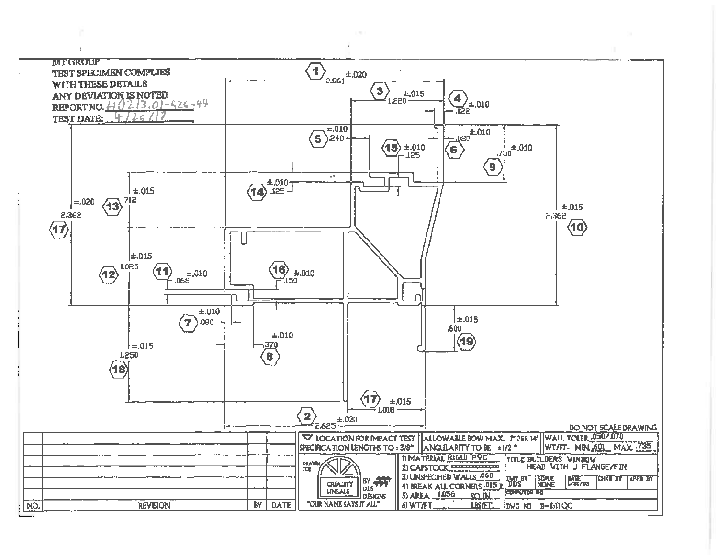